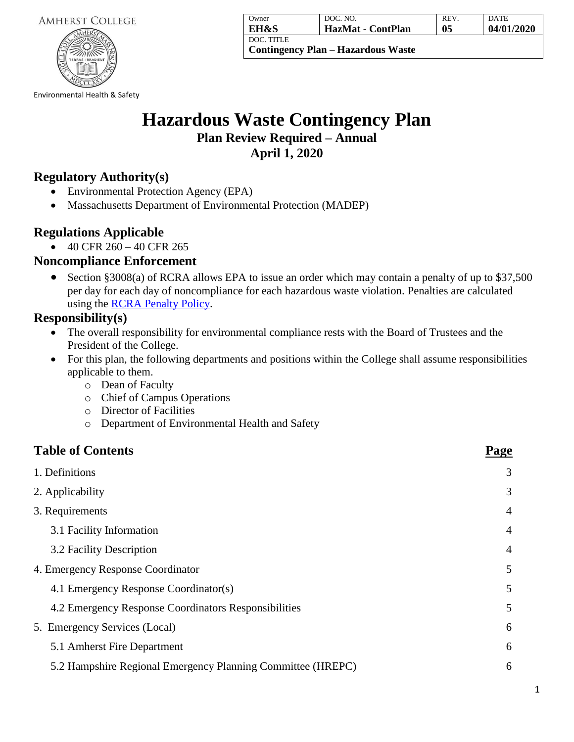

| Owner      | DOC. NO.                                  | REV. | <b>DATE</b> |
|------------|-------------------------------------------|------|-------------|
| EH&S       | HazMat - ContPlan                         | 05   | 04/01/2020  |
| DOC. TITLE | <b>Contingency Plan – Hazardous Waste</b> |      |             |

Environmental Health & Safety

# **Hazardous Waste Contingency Plan**

**Plan Review Required – Annual April 1, 2020**

## **Regulatory Authority(s)**

- Environmental Protection Agency (EPA)
- Massachusetts Department of Environmental Protection (MADEP)

## **Regulations Applicable**

 $\bullet$  40 CFR 260 – 40 CFR 265

## **Noncompliance Enforcement**

• Section §3008(a) of RCRA allows EPA to issue an order which may contain a penalty of up to \$37,500 per day for each day of noncompliance for each hazardous waste violation. Penalties are calculated using the [RCRA Penalty Policy.](https://www.epa.gov/enforcement/resource-conservation-and-recovery-act-rcra-civil-penalty-policy)

## **Responsibility(s)**

- The overall responsibility for environmental compliance rests with the Board of Trustees and the President of the College.
- For this plan, the following departments and positions within the College shall assume responsibilities applicable to them.
	- o Dean of Faculty
	- o Chief of Campus Operations
	- o Director of Facilities
	- o Department of Environmental Health and Safety

## **Table of Contents** Page

| 1. Definitions                                              | 3              |
|-------------------------------------------------------------|----------------|
| 2. Applicability                                            | 3              |
| 3. Requirements                                             | $\overline{4}$ |
| 3.1 Facility Information                                    | $\overline{4}$ |
| 3.2 Facility Description                                    | $\overline{4}$ |
| 4. Emergency Response Coordinator                           | 5              |
| 4.1 Emergency Response Coordinator(s)                       | 5              |
| 4.2 Emergency Response Coordinators Responsibilities        | 5              |
| 5. Emergency Services (Local)                               | 6              |
| 5.1 Amherst Fire Department                                 | 6              |
| 5.2 Hampshire Regional Emergency Planning Committee (HREPC) | 6              |
|                                                             |                |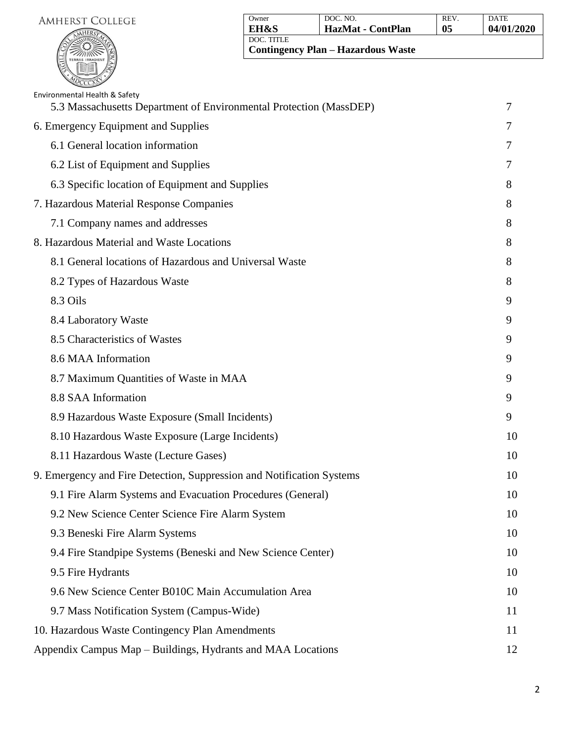

| Owner                                                   | DOC. NO.          | REV. | <b>DATE</b> |
|---------------------------------------------------------|-------------------|------|-------------|
| <b>EH&amp;S</b>                                         | HazMat - ContPlan | 05   | 04/01/2020  |
| DOC. TITLE<br><b>Contingency Plan – Hazardous Waste</b> |                   |      |             |

| Environmental Health & Safety<br>5.3 Massachusetts Department of Environmental Protection (MassDEP) | 7  |
|-----------------------------------------------------------------------------------------------------|----|
| 6. Emergency Equipment and Supplies                                                                 | 7  |
| 6.1 General location information                                                                    | 7  |
| 6.2 List of Equipment and Supplies                                                                  | 7  |
| 6.3 Specific location of Equipment and Supplies                                                     | 8  |
| 7. Hazardous Material Response Companies                                                            | 8  |
| 7.1 Company names and addresses                                                                     | 8  |
| 8. Hazardous Material and Waste Locations                                                           | 8  |
| 8.1 General locations of Hazardous and Universal Waste                                              | 8  |
| 8.2 Types of Hazardous Waste                                                                        | 8  |
| 8.3 Oils                                                                                            | 9  |
| 8.4 Laboratory Waste                                                                                | 9  |
| 8.5 Characteristics of Wastes                                                                       | 9  |
| 8.6 MAA Information                                                                                 | 9  |
| 8.7 Maximum Quantities of Waste in MAA                                                              | 9  |
| 8.8 SAA Information                                                                                 | 9  |
| 8.9 Hazardous Waste Exposure (Small Incidents)                                                      | 9  |
| 8.10 Hazardous Waste Exposure (Large Incidents)                                                     | 10 |
| 8.11 Hazardous Waste (Lecture Gases)                                                                | 10 |
| 9. Emergency and Fire Detection, Suppression and Notification Systems                               | 10 |
| 9.1 Fire Alarm Systems and Evacuation Procedures (General)                                          | 10 |
| 9.2 New Science Center Science Fire Alarm System                                                    | 10 |
| 9.3 Beneski Fire Alarm Systems                                                                      | 10 |
| 9.4 Fire Standpipe Systems (Beneski and New Science Center)                                         | 10 |
| 9.5 Fire Hydrants                                                                                   | 10 |
| 9.6 New Science Center B010C Main Accumulation Area                                                 | 10 |
| 9.7 Mass Notification System (Campus-Wide)                                                          | 11 |
| 10. Hazardous Waste Contingency Plan Amendments                                                     | 11 |
| Appendix Campus Map – Buildings, Hydrants and MAA Locations                                         | 12 |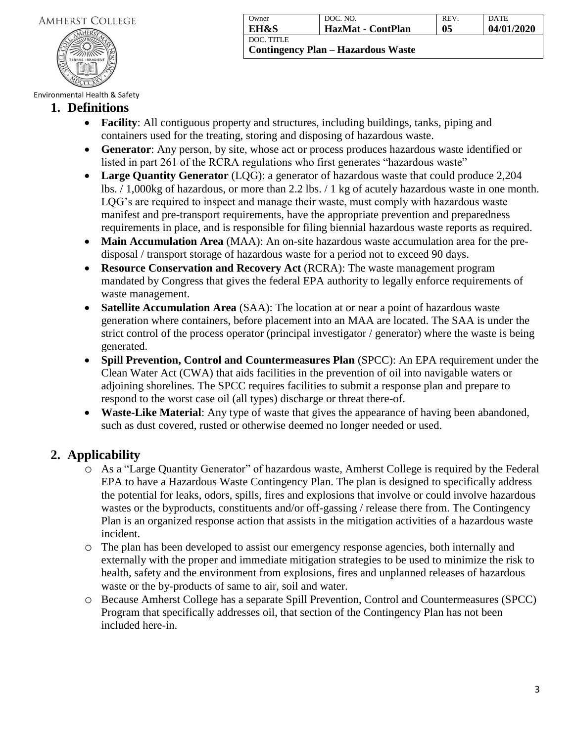

| Owner                              | DOC. NO.          | REV. | <b>DATE</b> |
|------------------------------------|-------------------|------|-------------|
| EH&S                               | HazMat - ContPlan | 05   | 04/01/2020  |
| <b>I DOC. TITLE</b>                |                   |      |             |
| Contingency Plan – Hazardous Waste |                   |      |             |

#### **1. Definitions**

- **Facility**: All contiguous property and structures, including buildings, tanks, piping and containers used for the treating, storing and disposing of hazardous waste.
- **Generator**: Any person, by site, whose act or process produces hazardous waste identified or listed in part 261 of the RCRA regulations who first generates "hazardous waste"
- **Large Quantity Generator** (LQG): a generator of hazardous waste that could produce 2,204 lbs. / 1,000kg of hazardous, or more than 2.2 lbs. / 1 kg of acutely hazardous waste in one month. LQG's are required to inspect and manage their waste, must comply with hazardous waste manifest and pre-transport requirements, have the appropriate prevention and preparedness requirements in place, and is responsible for filing biennial hazardous waste reports as required.
- **Main Accumulation Area** (MAA): An on-site hazardous waste accumulation area for the predisposal / transport storage of hazardous waste for a period not to exceed 90 days.
- **Resource Conservation and Recovery Act** (RCRA): The waste management program mandated by Congress that gives the federal EPA authority to legally enforce requirements of waste management.
- **Satellite Accumulation Area** (SAA): The location at or near a point of hazardous waste generation where containers, before placement into an MAA are located. The SAA is under the strict control of the process operator (principal investigator / generator) where the waste is being generated.
- **Spill Prevention, Control and Countermeasures Plan** (SPCC): An EPA requirement under the Clean Water Act (CWA) that aids facilities in the prevention of oil into navigable waters or adjoining shorelines. The SPCC requires facilities to submit a response plan and prepare to respond to the worst case oil (all types) discharge or threat there-of.
- **Waste-Like Material:** Any type of waste that gives the appearance of having been abandoned, such as dust covered, rusted or otherwise deemed no longer needed or used.

# **2. Applicability**

- o As a "Large Quantity Generator" of hazardous waste, Amherst College is required by the Federal EPA to have a Hazardous Waste Contingency Plan. The plan is designed to specifically address the potential for leaks, odors, spills, fires and explosions that involve or could involve hazardous wastes or the byproducts, constituents and/or off-gassing / release there from. The Contingency Plan is an organized response action that assists in the mitigation activities of a hazardous waste incident.
- o The plan has been developed to assist our emergency response agencies, both internally and externally with the proper and immediate mitigation strategies to be used to minimize the risk to health, safety and the environment from explosions, fires and unplanned releases of hazardous waste or the by-products of same to air, soil and water.
- o Because Amherst College has a separate Spill Prevention, Control and Countermeasures (SPCC) Program that specifically addresses oil, that section of the Contingency Plan has not been included here-in.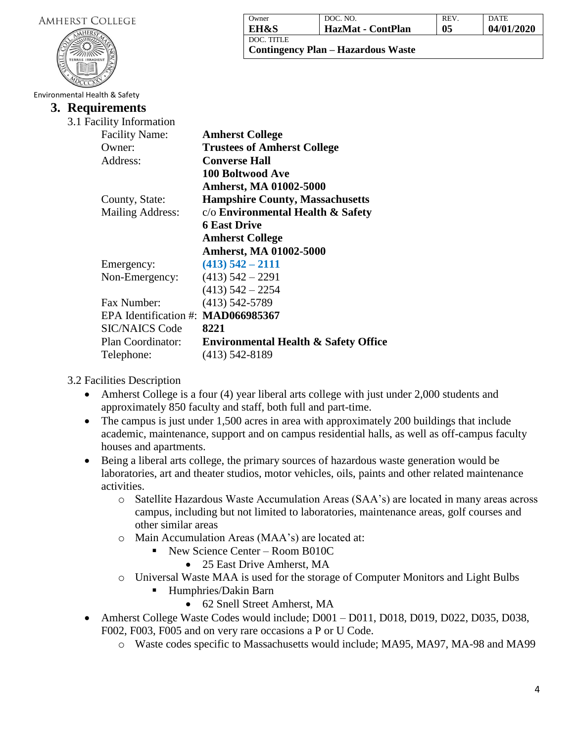| <b>AMHERST COLLEGE</b>        |                                    | Owner                                  | DOC. NO.                                  | REV.           | <b>DATE</b> |
|-------------------------------|------------------------------------|----------------------------------------|-------------------------------------------|----------------|-------------|
|                               |                                    | <b>EH&amp;S</b><br>DOC. TITLE          | HazMat - ContPlan                         | 0 <sub>5</sub> | 04/01/2020  |
|                               |                                    |                                        | <b>Contingency Plan - Hazardous Waste</b> |                |             |
|                               |                                    |                                        |                                           |                |             |
|                               |                                    |                                        |                                           |                |             |
|                               |                                    |                                        |                                           |                |             |
| Environmental Health & Safety |                                    |                                        |                                           |                |             |
|                               | 3. Requirements                    |                                        |                                           |                |             |
|                               | 3.1 Facility Information           |                                        |                                           |                |             |
|                               | <b>Facility Name:</b>              | <b>Amherst College</b>                 |                                           |                |             |
|                               | Owner:                             | <b>Trustees of Amherst College</b>     |                                           |                |             |
|                               | Address:                           | <b>Converse Hall</b>                   |                                           |                |             |
|                               |                                    | <b>100 Boltwood Ave</b>                |                                           |                |             |
|                               |                                    | Amherst, MA 01002-5000                 |                                           |                |             |
|                               | County, State:                     | <b>Hampshire County, Massachusetts</b> |                                           |                |             |
|                               | <b>Mailing Address:</b>            | $c/o$ Environmental Health $\&$ Safety |                                           |                |             |
|                               |                                    | <b>6 East Drive</b>                    |                                           |                |             |
|                               |                                    | <b>Amherst College</b>                 |                                           |                |             |
|                               |                                    | <b>Amherst, MA 01002-5000</b>          |                                           |                |             |
|                               |                                    | $(413)$ 542 - 2111                     |                                           |                |             |
|                               | Emergency:                         |                                        |                                           |                |             |
|                               | Non-Emergency:                     | $(413)$ 542 – 2291                     |                                           |                |             |
|                               |                                    | $(413)$ 542 - 2254                     |                                           |                |             |
|                               | Fax Number:                        | $(413) 542 - 5789$                     |                                           |                |             |
|                               | EPA Identification #: MAD066985367 |                                        |                                           |                |             |

SIC/NAICS Code **8221** Plan Coordinator: **Environmental Health & Safety Office**

Telephone: (413) 542-8189

3.2 Facilities Description

- Amherst College is a four (4) year liberal arts college with just under 2,000 students and approximately 850 faculty and staff, both full and part-time.
- The campus is just under 1,500 acres in area with approximately 200 buildings that include academic, maintenance, support and on campus residential halls, as well as off-campus faculty houses and apartments.
- Being a liberal arts college, the primary sources of hazardous waste generation would be laboratories, art and theater studios, motor vehicles, oils, paints and other related maintenance activities.
	- o Satellite Hazardous Waste Accumulation Areas (SAA's) are located in many areas across campus, including but not limited to laboratories, maintenance areas, golf courses and other similar areas
	- o Main Accumulation Areas (MAA's) are located at:
		- $\blacksquare$  New Science Center Room B010C
			- 25 East Drive Amherst, MA
	- o Universal Waste MAA is used for the storage of Computer Monitors and Light Bulbs
		- Humphries/Dakin Barn
			- 62 Snell Street Amherst, MA
- Amherst College Waste Codes would include; D001 D011, D018, D019, D022, D035, D038, F002, F003, F005 and on very rare occasions a P or U Code.
	- o Waste codes specific to Massachusetts would include; MA95, MA97, MA-98 and MA99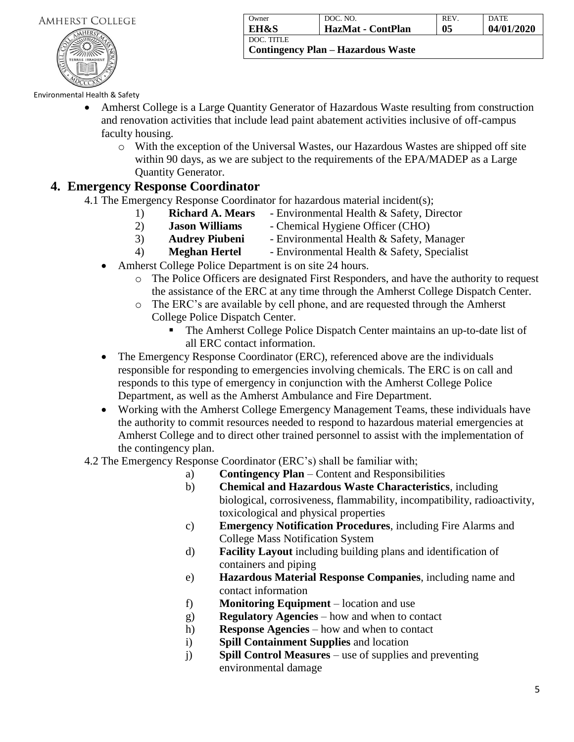

| Owner           | DOC. NO.                                  | REV. | <b>DATE</b> |
|-----------------|-------------------------------------------|------|-------------|
| <b>EH&amp;S</b> | HazMat - ContPlan                         | 05   | 04/01/2020  |
| DOC. TITLE      | <b>Contingency Plan – Hazardous Waste</b> |      |             |

- Amherst College is a Large Quantity Generator of Hazardous Waste resulting from construction and renovation activities that include lead paint abatement activities inclusive of off-campus faculty housing.
	- o With the exception of the Universal Wastes, our Hazardous Wastes are shipped off site within 90 days, as we are subject to the requirements of the EPA/MADEP as a Large Quantity Generator.

#### **4. Emergency Response Coordinator**

- 4.1 The Emergency Response Coordinator for hazardous material incident(s);
	- 1) **Richard A. Mears** Environmental Health & Safety, Director
	- 2) **Jason Williams** Chemical Hygiene Officer (CHO)
	- 3) **Audrey Piubeni** Environmental Health & Safety, Manager
	- 4) **Meghan Hertel** Environmental Health & Safety, Specialist
	- Amherst College Police Department is on site 24 hours.
		- o The Police Officers are designated First Responders, and have the authority to request the assistance of the ERC at any time through the Amherst College Dispatch Center.
		- o The ERC's are available by cell phone, and are requested through the Amherst College Police Dispatch Center.
			- The Amherst College Police Dispatch Center maintains an up-to-date list of all ERC contact information.
	- The Emergency Response Coordinator (ERC), referenced above are the individuals responsible for responding to emergencies involving chemicals. The ERC is on call and responds to this type of emergency in conjunction with the Amherst College Police Department, as well as the Amherst Ambulance and Fire Department.
	- Working with the Amherst College Emergency Management Teams, these individuals have the authority to commit resources needed to respond to hazardous material emergencies at Amherst College and to direct other trained personnel to assist with the implementation of the contingency plan.
- 4.2 The Emergency Response Coordinator (ERC's) shall be familiar with;
	- a) **Contingency Plan** Content and Responsibilities
	- b) **Chemical and Hazardous Waste Characteristics**, including biological, corrosiveness, flammability, incompatibility, radioactivity, toxicological and physical properties
	- c) **Emergency Notification Procedures**, including Fire Alarms and College Mass Notification System
	- d) **Facility Layout** including building plans and identification of containers and piping
	- e) **Hazardous Material Response Companies**, including name and contact information
	- f) **Monitoring Equipment** location and use
	- g) **Regulatory Agencies** how and when to contact
	- h) **Response Agencies** how and when to contact
	- i) **Spill Containment Supplies** and location
	- j) **Spill Control Measures** use of supplies and preventing environmental damage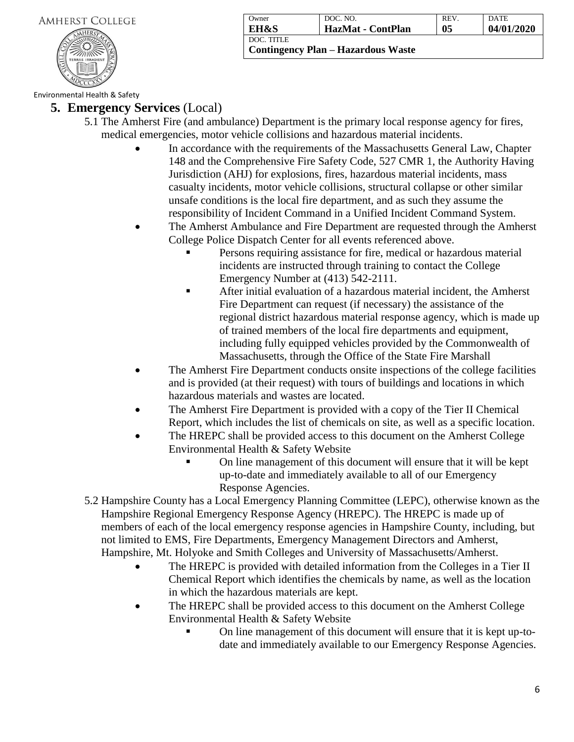

| Owner                                                | DOC. NO.          | REV. | <b>DATE</b> |
|------------------------------------------------------|-------------------|------|-------------|
| EH&S                                                 | HazMat - ContPlan | 05   | 04/01/2020  |
| I DOC. TITLE<br>  Contingency Plan – Hazardous Waste |                   |      |             |

Environmental Health & Safety

#### **5. Emergency Services** (Local)

- 5.1 The Amherst Fire (and ambulance) Department is the primary local response agency for fires, medical emergencies, motor vehicle collisions and hazardous material incidents.
	- In accordance with the requirements of the Massachusetts General Law, Chapter 148 and the Comprehensive Fire Safety Code, 527 CMR 1, the Authority Having Jurisdiction (AHJ) for explosions, fires, hazardous material incidents, mass casualty incidents, motor vehicle collisions, structural collapse or other similar unsafe conditions is the local fire department, and as such they assume the responsibility of Incident Command in a Unified Incident Command System.
	- The Amherst Ambulance and Fire Department are requested through the Amherst College Police Dispatch Center for all events referenced above.
		- Persons requiring assistance for fire, medical or hazardous material incidents are instructed through training to contact the College Emergency Number at (413) 542-2111.
		- **EXECUTE:** After initial evaluation of a hazardous material incident, the Amherst Fire Department can request (if necessary) the assistance of the regional district hazardous material response agency, which is made up of trained members of the local fire departments and equipment, including fully equipped vehicles provided by the Commonwealth of Massachusetts, through the Office of the State Fire Marshall
	- The Amherst Fire Department conducts onsite inspections of the college facilities and is provided (at their request) with tours of buildings and locations in which hazardous materials and wastes are located.
	- The Amherst Fire Department is provided with a copy of the Tier II Chemical Report, which includes the list of chemicals on site, as well as a specific location.
	- The HREPC shall be provided access to this document on the Amherst College Environmental Health & Safety Website
		- On line management of this document will ensure that it will be kept up-to-date and immediately available to all of our Emergency Response Agencies.
- 5.2 Hampshire County has a Local Emergency Planning Committee (LEPC), otherwise known as the Hampshire Regional Emergency Response Agency (HREPC). The HREPC is made up of members of each of the local emergency response agencies in Hampshire County, including, but not limited to EMS, Fire Departments, Emergency Management Directors and Amherst, Hampshire, Mt. Holyoke and Smith Colleges and University of Massachusetts/Amherst.
	- The HREPC is provided with detailed information from the Colleges in a Tier II Chemical Report which identifies the chemicals by name, as well as the location in which the hazardous materials are kept.
	- The HREPC shall be provided access to this document on the Amherst College Environmental Health & Safety Website
		- On line management of this document will ensure that it is kept up-todate and immediately available to our Emergency Response Agencies.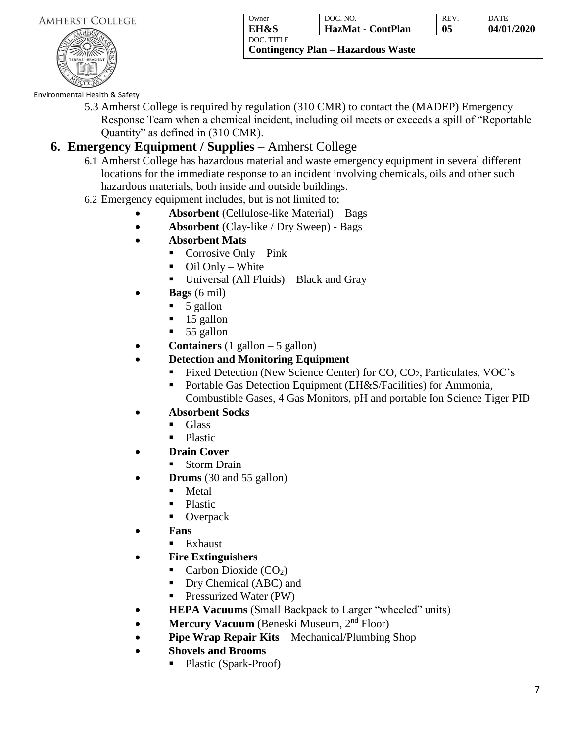

| Owner           | DOC. NO.                           | REV. | <b>DATE</b> |
|-----------------|------------------------------------|------|-------------|
| <b>EH&amp;S</b> | HazMat - ContPlan                  | 05   | 04/01/2020  |
| DOC. TITLE      |                                    |      |             |
|                 | Contingency Plan – Hazardous Waste |      |             |

5.3 Amherst College is required by regulation (310 CMR) to contact the (MADEP) Emergency Response Team when a chemical incident, including oil meets or exceeds a spill of "Reportable Quantity" as defined in (310 CMR).

## **6. Emergency Equipment / Supplies** – Amherst College

- 6.1 Amherst College has hazardous material and waste emergency equipment in several different locations for the immediate response to an incident involving chemicals, oils and other such hazardous materials, both inside and outside buildings.
- 6.2 Emergency equipment includes, but is not limited to;
	- **Absorbent** (Cellulose-like Material) Bags
	- **Absorbent** (Clay-like / Dry Sweep) Bags
	- **Absorbent Mats**
		- $\blacksquare$  Corrosive Only Pink
		- $\blacksquare$  Oil Only White
		- Universal (All Fluids) Black and Gray
	- **Bags** (6 mil)
		- $\blacksquare$  5 gallon
		- 15 gallon
		- 55 gallon
	- **Containers** (1 gallon 5 gallon)
	- **Detection and Monitoring Equipment**
		- Fixed Detection (New Science Center) for CO, CO<sub>2</sub>, Particulates, VOC's
		- Portable Gas Detection Equipment (EH&S/Facilities) for Ammonia, Combustible Gases, 4 Gas Monitors, pH and portable Ion Science Tiger PID
	- **Absorbent Socks**
		- Glass
		- Plastic
	- **Drain Cover**
		- **Storm Drain**
	- **Drums** (30 and 55 gallon)
		- Metal
		- Plastic
		- Overpack
	- **Fans**
		- Exhaust
	- **Fire Extinguishers** 
		- $\blacksquare$  Carbon Dioxide (CO<sub>2</sub>)
		- Dry Chemical (ABC) and
		- **•** Pressurized Water (PW)
	- **HEPA Vacuums** (Small Backpack to Larger "wheeled" units)
	- **Mercury Vacuum** (Beneski Museum, 2<sup>nd</sup> Floor)
	- **Pipe Wrap Repair Kits** Mechanical/Plumbing Shop
	- **Shovels and Brooms**
		- Plastic (Spark-Proof)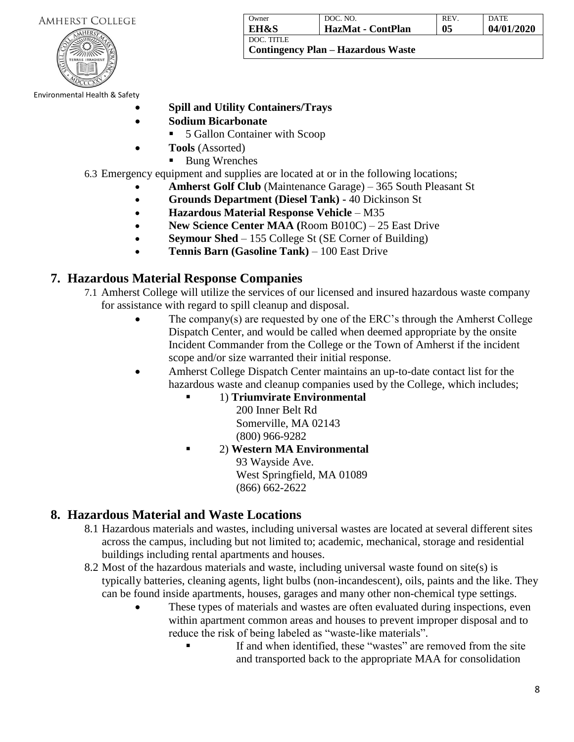|  | <b>AMHERST COLLEGE</b> |  |
|--|------------------------|--|
|--|------------------------|--|



| Owner           | DOC. NO.                           | <b>REV</b> | <b>DATE</b> |
|-----------------|------------------------------------|------------|-------------|
| <b>EH&amp;S</b> | HazMat - ContPlan                  | 05         | 04/01/2020  |
| I DOC. TITLE    | Contingency Plan – Hazardous Waste |            |             |

- **Spill and Utility Containers/Trays**
- **Sodium Bicarbonate**
	- 5 Gallon Container with Scoop
- **Tools** (Assorted)
	- Bung Wrenches
- 6.3 Emergency equipment and supplies are located at or in the following locations;
	- **Amherst Golf Club** (Maintenance Garage) 365 South Pleasant St
	- **Grounds Department (Diesel Tank) -** 40 Dickinson St
	- **Hazardous Material Response Vehicle**  M35
	- **New Science Center MAA (**Room B010C) 25 East Drive
	- **Seymour Shed** 155 College St (SE Corner of Building)
	- **Tennis Barn (Gasoline Tank)**  100 East Drive

#### **7. Hazardous Material Response Companies**

- 7.1 Amherst College will utilize the services of our licensed and insured hazardous waste company for assistance with regard to spill cleanup and disposal.
	- The company(s) are requested by one of the ERC's through the Amherst College Dispatch Center, and would be called when deemed appropriate by the onsite Incident Commander from the College or the Town of Amherst if the incident scope and/or size warranted their initial response.
	- Amherst College Dispatch Center maintains an up-to-date contact list for the hazardous waste and cleanup companies used by the College, which includes;
		- 1) **Triumvirate Environmental**
			- 200 Inner Belt Rd Somerville, MA 02143 (800) 966-9282
			- 2) **Western MA Environmental** 93 Wayside Ave. West Springfield, MA 01089 (866) 662-2622

## **8. Hazardous Material and Waste Locations**

- 8.1 Hazardous materials and wastes, including universal wastes are located at several different sites across the campus, including but not limited to; academic, mechanical, storage and residential buildings including rental apartments and houses.
- 8.2 Most of the hazardous materials and waste, including universal waste found on site(s) is typically batteries, cleaning agents, light bulbs (non-incandescent), oils, paints and the like. They can be found inside apartments, houses, garages and many other non-chemical type settings.
	- These types of materials and wastes are often evaluated during inspections, even within apartment common areas and houses to prevent improper disposal and to reduce the risk of being labeled as "waste-like materials".
		- If and when identified, these "wastes" are removed from the site and transported back to the appropriate MAA for consolidation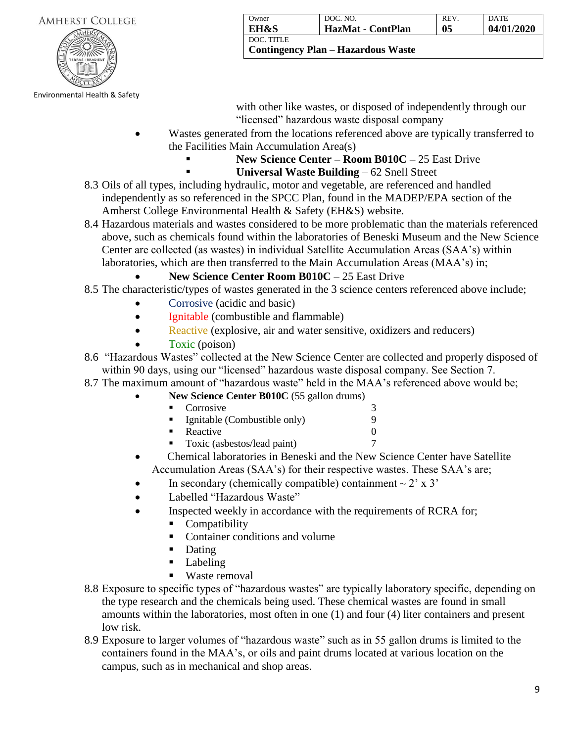| <b>AMHERST COLLEGE</b> |  |
|------------------------|--|
|------------------------|--|



Owner **EH&S** DOC. NO. **HazMat - ContPlan** REV. **05** DATE **04/01/2020** DOC. TITLE **Contingency Plan – Hazardous Waste**

with other like wastes, or disposed of independently through our "licensed" hazardous waste disposal company

- Wastes generated from the locations referenced above are typically transferred to the Facilities Main Accumulation Area(s)
	- **New Science Center <b>Room B010C** 25 East Drive
	- Universal Waste Building 62 Snell Street
- 8.3 Oils of all types, including hydraulic, motor and vegetable, are referenced and handled independently as so referenced in the SPCC Plan, found in the MADEP/EPA section of the Amherst College Environmental Health & Safety (EH&S) website.
- 8.4 Hazardous materials and wastes considered to be more problematic than the materials referenced above, such as chemicals found within the laboratories of Beneski Museum and the New Science Center are collected (as wastes) in individual Satellite Accumulation Areas (SAA's) within laboratories, which are then transferred to the Main Accumulation Areas (MAA's) in;

#### • **New Science Center Room B010C** – 25 East Drive

- 8.5 The characteristic/types of wastes generated in the 3 science centers referenced above include;
	- Corrosive (acidic and basic)
	- Ignitable (combustible and flammable)
	- Reactive (explosive, air and water sensitive, oxidizers and reducers)
	- Toxic (poison)
- 8.6 "Hazardous Wastes" collected at the New Science Center are collected and properly disposed of within 90 days, using our "licensed" hazardous waste disposal company. See Section 7.
- 8.7 The maximum amount of "hazardous waste" held in the MAA's referenced above would be;
	- **New Science Center B010C** (55 gallon drums)
		- - Corrosive 3 Ignitable (Combustible only) 9
		- $\textbf{Reactive} \qquad \qquad 0$
		- Toxic (asbestos/lead paint) 7
	- Chemical laboratories in Beneski and the New Science Center have Satellite Accumulation Areas (SAA's) for their respective wastes. These SAA's are;
		- In secondary (chemically compatible) containment  $\sim$  2' x 3'
	- Labelled "Hazardous Waste"
	- Inspected weekly in accordance with the requirements of RCRA for;
		- **Compatibility**
		- Container conditions and volume
		- Dating
		- Labeling
		- Waste removal
- 8.8 Exposure to specific types of "hazardous wastes" are typically laboratory specific, depending on the type research and the chemicals being used. These chemical wastes are found in small amounts within the laboratories, most often in one (1) and four (4) liter containers and present low risk.
- 8.9 Exposure to larger volumes of "hazardous waste" such as in 55 gallon drums is limited to the containers found in the MAA's, or oils and paint drums located at various location on the campus, such as in mechanical and shop areas.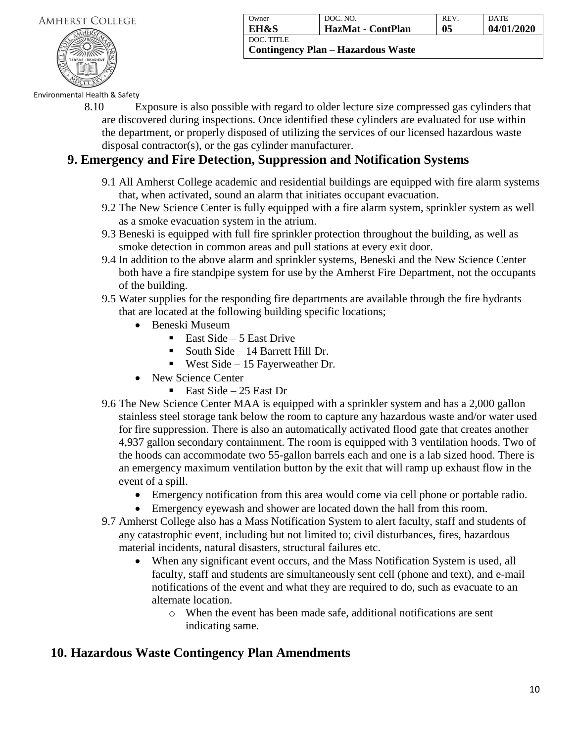

| Owner                              | DOC. NO.          | REV. | <b>DATE</b> |  |  |
|------------------------------------|-------------------|------|-------------|--|--|
| EH&S                               | HazMat - ContPlan | 05   | 04/01/2020  |  |  |
| DOC. TITLE                         |                   |      |             |  |  |
| Contingency Plan – Hazardous Waste |                   |      |             |  |  |

8.10 Exposure is also possible with regard to older lecture size compressed gas cylinders that are discovered during inspections. Once identified these cylinders are evaluated for use within the department, or properly disposed of utilizing the services of our licensed hazardous waste disposal contractor(s), or the gas cylinder manufacturer.

### **9. Emergency and Fire Detection, Suppression and Notification Systems**

- 9.1 All Amherst College academic and residential buildings are equipped with fire alarm systems that, when activated, sound an alarm that initiates occupant evacuation.
- 9.2 The New Science Center is fully equipped with a fire alarm system, sprinkler system as well as a smoke evacuation system in the atrium.
- 9.3 Beneski is equipped with full fire sprinkler protection throughout the building, as well as smoke detection in common areas and pull stations at every exit door.
- 9.4 In addition to the above alarm and sprinkler systems, Beneski and the New Science Center both have a fire standpipe system for use by the Amherst Fire Department, not the occupants of the building.
- 9.5 Water supplies for the responding fire departments are available through the fire hydrants that are located at the following building specific locations;
	- Beneski Museum
		- East Side 5 East Drive
		- South Side 14 Barrett Hill Dr.
		- **•** West Side 15 Fayerweather Dr.
	- New Science Center
		- East Side 25 East Dr
- 9.6 The New Science Center MAA is equipped with a sprinkler system and has a 2,000 gallon stainless steel storage tank below the room to capture any hazardous waste and/or water used for fire suppression. There is also an automatically activated flood gate that creates another 4,937 gallon secondary containment. The room is equipped with 3 ventilation hoods. Two of the hoods can accommodate two 55-gallon barrels each and one is a lab sized hood. There is an emergency maximum ventilation button by the exit that will ramp up exhaust flow in the event of a spill.
	- Emergency notification from this area would come via cell phone or portable radio.
	- Emergency eyewash and shower are located down the hall from this room.
- 9.7 Amherst College also has a Mass Notification System to alert faculty, staff and students of any catastrophic event, including but not limited to; civil disturbances, fires, hazardous material incidents, natural disasters, structural failures etc.
	- When any significant event occurs, and the Mass Notification System is used, all faculty, staff and students are simultaneously sent cell (phone and text), and e-mail notifications of the event and what they are required to do, such as evacuate to an alternate location.
		- o When the event has been made safe, additional notifications are sent indicating same.

## **10. Hazardous Waste Contingency Plan Amendments**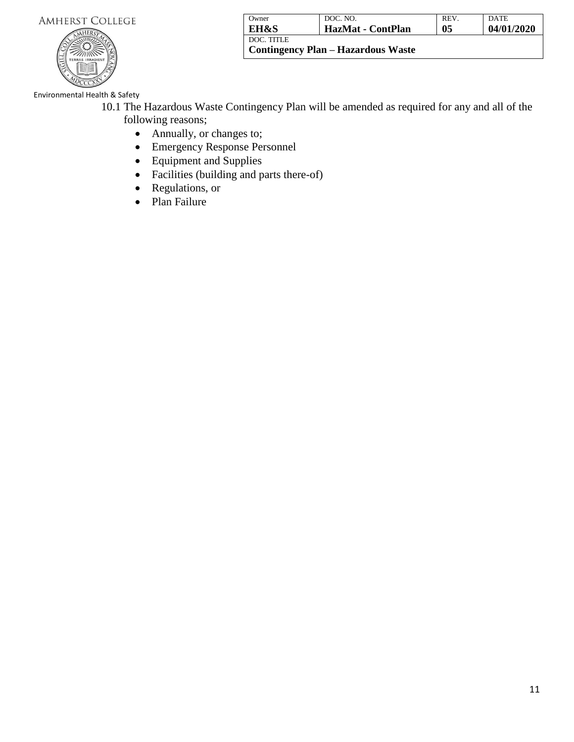

| Owner                                                     | DOC. NO.          | REV. | <b>DATE</b> |  |
|-----------------------------------------------------------|-------------------|------|-------------|--|
| EH&S                                                      | HazMat - ContPlan | 05   | 04/01/2020  |  |
| <b>DOC. TITLE</b><br>  Contingency Plan – Hazardous Waste |                   |      |             |  |

Environmental Health & Safety

- 10.1 The Hazardous Waste Contingency Plan will be amended as required for any and all of the following reasons;
	- Annually, or changes to;
	- Emergency Response Personnel
	- Equipment and Supplies
	- Facilities (building and parts there-of)
	- Regulations, or
	- Plan Failure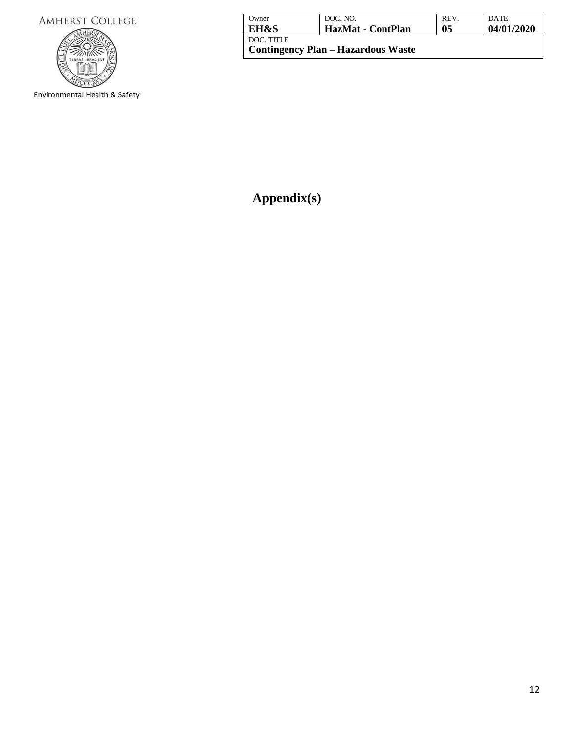

Environmental Health & Safety

| Owner                                                   | DOC. NO.          | REV. | <b>DATE</b> |
|---------------------------------------------------------|-------------------|------|-------------|
| <b>EH&amp;S</b>                                         | HazMat - ContPlan | 05   | 04/01/2020  |
| DOC. TITLE<br><b>Contingency Plan – Hazardous Waste</b> |                   |      |             |

**Appendix(s)**